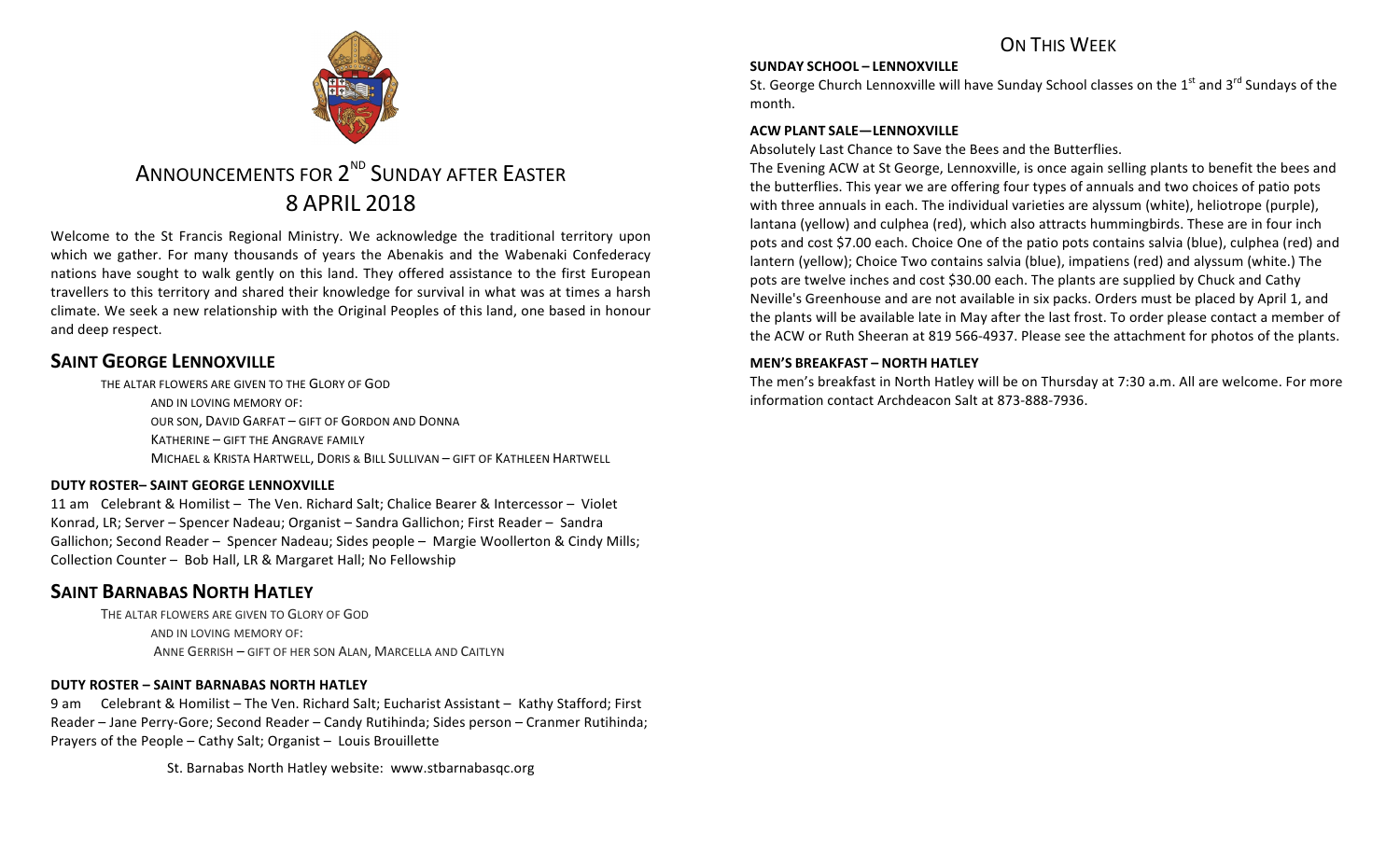

### **SUNDAY SCHOOL – LENNOXVILLE**

St. George Church Lennoxville will have Sunday School classes on the  $1<sup>st</sup>$  and  $3<sup>rd</sup>$  Sundays of the month.

#### **ACW PLANT SALE—LENNOXVILLE**

Absolutely Last Chance to Save the Bees and the Butterflies.

The Evening ACW at St George, Lennoxville, is once again selling plants to benefit the bees and the butterflies. This year we are offering four types of annuals and two choices of patio pots with three annuals in each. The individual varieties are alyssum (white), heliotrope (purple), lantana (yellow) and culphea (red), which also attracts hummingbirds. These are in four inch pots and cost \$7.00 each. Choice One of the patio pots contains salvia (blue), culphea (red) and lantern (yellow); Choice Two contains salvia (blue), impatiens (red) and alyssum (white.) The pots are twelve inches and cost \$30.00 each. The plants are supplied by Chuck and Cathy Neville's Greenhouse and are not available in six packs. Orders must be placed by April 1, and the plants will be available late in May after the last frost. To order please contact a member of the ACW or Ruth Sheeran at 819 566-4937. Please see the attachment for photos of the plants.

#### **MEN'S BREAKFAST – NORTH HATLEY**

The men's breakfast in North Hatley will be on Thursday at 7:30 a.m. All are welcome. For more information contact Archdeacon Salt at 873-888-7936.



# ANNOUNCEMENTS FOR 2<sup>ND</sup> SUNDAY AFTER EASTER 8 APRIL 2018

Welcome to the St Francis Regional Ministry. We acknowledge the traditional territory upon which we gather. For many thousands of years the Abenakis and the Wabenaki Confederacy nations have sought to walk gently on this land. They offered assistance to the first European travellers to this territory and shared their knowledge for survival in what was at times a harsh climate. We seek a new relationship with the Original Peoples of this land, one based in honour and deep respect.

# **SAINT GEORGE LENNOXVILLE**

THE ALTAR FLOWERS ARE GIVEN TO THE GLORY OF GOD AND IN LOVING MEMORY OF: OUR SON, DAVID GARFAT - GIFT OF GORDON AND DONNA KATHERINE – GIFT THE ANGRAVE FAMILY

MICHAEL & KRISTA HARTWELL, DORIS & BILL SULLIVAN - GIFT OF KATHLEEN HARTWELL

### **DUTY ROSTER– SAINT GEORGE LENNOXVILLE**

11 am Celebrant & Homilist - The Ven. Richard Salt; Chalice Bearer & Intercessor - Violet Konrad, LR; Server – Spencer Nadeau; Organist – Sandra Gallichon; First Reader – Sandra Gallichon; Second Reader - Spencer Nadeau; Sides people - Margie Woollerton & Cindy Mills; Collection Counter - Bob Hall, LR & Margaret Hall; No Fellowship

# **SAINT BARNABAS NORTH HATLEY**

THE ALTAR FLOWERS ARE GIVEN TO GLORY OF GOD AND IN LOVING MEMORY OF: ANNE GERRISH - GIFT OF HER SON ALAN, MARCELLA AND CAITLYN

### **DUTY ROSTER – SAINT BARNABAS NORTH HATLEY**

9 am Celebrant & Homilist – The Ven. Richard Salt; Eucharist Assistant – Kathy Stafford; First Reader – Jane Perry-Gore; Second Reader – Candy Rutihinda; Sides person – Cranmer Rutihinda; Prayers of the People  $-$  Cathy Salt; Organist  $-$  Louis Brouillette

St. Barnabas North Hatley website: www.stbarnabasqc.org